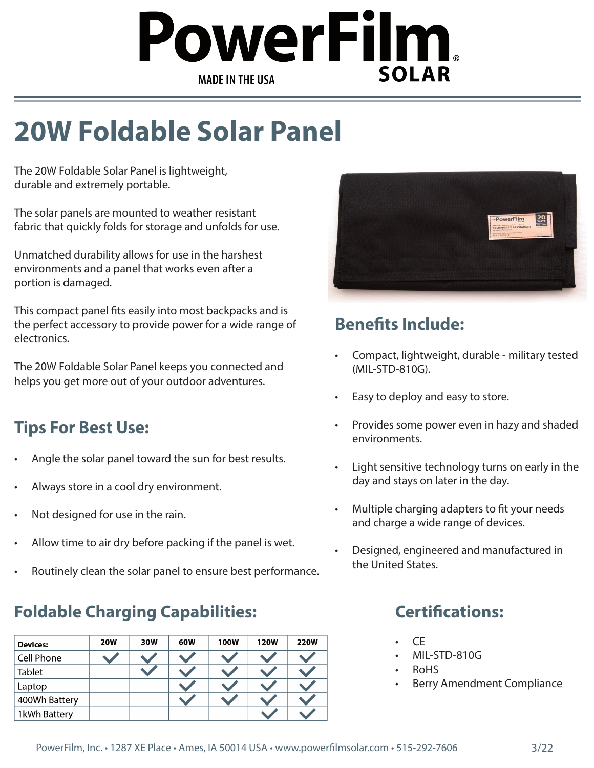# owerFilm, **SOLAR MADE IN THE USA**

# **20W Foldable Solar Panel**

The 20W Foldable Solar Panel is lightweight, durable and extremely portable.

The solar panels are mounted to weather resistant fabric that quickly folds for storage and unfolds for use.

Unmatched durability allows for use in the harshest environments and a panel that works even after a portion is damaged.

This compact panel fits easily into most backpacks and is the perfect accessory to provide power for a wide range of electronics.

The 20W Foldable Solar Panel keeps you connected and helps you get more out of your outdoor adventures.

### **Tips For Best Use:**

- Angle the solar panel toward the sun for best results.
- Always store in a cool dry environment.
- Not designed for use in the rain.
- Allow time to air dry before packing if the panel is wet.
- Routinely clean the solar panel to ensure best performance.

## **Foldable Charging Capabilities:**

| <b>Devices:</b> | <b>20W</b> | 30W | 60W | <b>100W</b> | <b>120W</b> | <b>220W</b> |
|-----------------|------------|-----|-----|-------------|-------------|-------------|
| Cell Phone      |            |     |     |             |             |             |
| <b>Tablet</b>   |            |     |     |             |             |             |
| Laptop          |            |     |     |             |             |             |
| 400Wh Battery   |            |     |     |             |             |             |
| 1kWh Battery    |            |     |     |             |             |             |



### **Benefits Include:**

- Compact, lightweight, durable military tested (MIL-STD-810G).
- Easy to deploy and easy to store.
- Provides some power even in hazy and shaded environments.
- Light sensitive technology turns on early in the day and stays on later in the day.
- Multiple charging adapters to fit your needs and charge a wide range of devices.
- Designed, engineered and manufactured in the United States.

### **Certifications:**

- CE
- MIL-STD-810G
- RoHS
- Berry Amendment Compliance